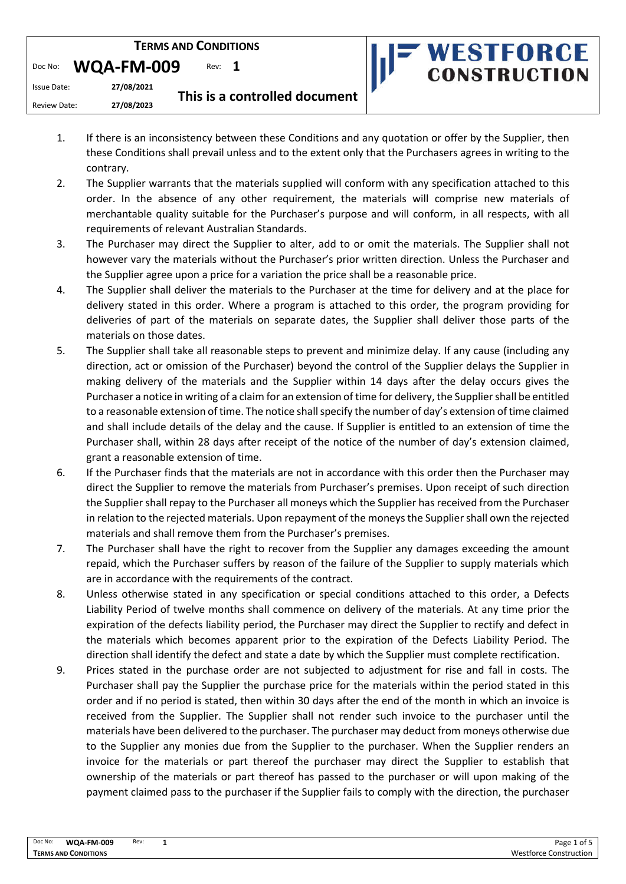| <b>TERMS AND CONDITIONS</b>     |            |                               | <b>IF WESTFORCE</b> |  |
|---------------------------------|------------|-------------------------------|---------------------|--|
| WQA-FM-009<br>Rev: 1<br>Doc No: |            | <b>CONSTRUCTION</b>           |                     |  |
| Issue Date:                     | 27/08/2021 | This is a controlled document |                     |  |
| Review Date:                    | 27/08/2023 |                               |                     |  |

- 1. If there is an inconsistency between these Conditions and any quotation or offer by the Supplier, then these Conditions shall prevail unless and to the extent only that the Purchasers agrees in writing to the contrary.
- 2. The Supplier warrants that the materials supplied will conform with any specification attached to this order. In the absence of any other requirement, the materials will comprise new materials of merchantable quality suitable for the Purchaser's purpose and will conform, in all respects, with all requirements of relevant Australian Standards.
- 3. The Purchaser may direct the Supplier to alter, add to or omit the materials. The Supplier shall not however vary the materials without the Purchaser's prior written direction. Unless the Purchaser and the Supplier agree upon a price for a variation the price shall be a reasonable price.
- 4. The Supplier shall deliver the materials to the Purchaser at the time for delivery and at the place for delivery stated in this order. Where a program is attached to this order, the program providing for deliveries of part of the materials on separate dates, the Supplier shall deliver those parts of the materials on those dates.
- 5. The Supplier shall take all reasonable steps to prevent and minimize delay. If any cause (including any direction, act or omission of the Purchaser) beyond the control of the Supplier delays the Supplier in making delivery of the materials and the Supplier within 14 days after the delay occurs gives the Purchaser a notice in writing of a claim for an extension of time for delivery, the Supplier shall be entitled to a reasonable extension of time. The notice shall specify the number of day's extension of time claimed and shall include details of the delay and the cause. If Supplier is entitled to an extension of time the Purchaser shall, within 28 days after receipt of the notice of the number of day's extension claimed, grant a reasonable extension of time.
- 6. If the Purchaser finds that the materials are not in accordance with this order then the Purchaser may direct the Supplier to remove the materials from Purchaser's premises. Upon receipt of such direction the Supplier shall repay to the Purchaser all moneys which the Supplier has received from the Purchaser in relation to the rejected materials. Upon repayment of the moneys the Supplier shall own the rejected materials and shall remove them from the Purchaser's premises.
- 7. The Purchaser shall have the right to recover from the Supplier any damages exceeding the amount repaid, which the Purchaser suffers by reason of the failure of the Supplier to supply materials which are in accordance with the requirements of the contract.
- 8. Unless otherwise stated in any specification or special conditions attached to this order, a Defects Liability Period of twelve months shall commence on delivery of the materials. At any time prior the expiration of the defects liability period, the Purchaser may direct the Supplier to rectify and defect in the materials which becomes apparent prior to the expiration of the Defects Liability Period. The direction shall identify the defect and state a date by which the Supplier must complete rectification.
- 9. Prices stated in the purchase order are not subjected to adjustment for rise and fall in costs. The Purchaser shall pay the Supplier the purchase price for the materials within the period stated in this order and if no period is stated, then within 30 days after the end of the month in which an invoice is received from the Supplier. The Supplier shall not render such invoice to the purchaser until the materials have been delivered to the purchaser. The purchaser may deduct from moneys otherwise due to the Supplier any monies due from the Supplier to the purchaser. When the Supplier renders an invoice for the materials or part thereof the purchaser may direct the Supplier to establish that ownership of the materials or part thereof has passed to the purchaser or will upon making of the payment claimed pass to the purchaser if the Supplier fails to comply with the direction, the purchaser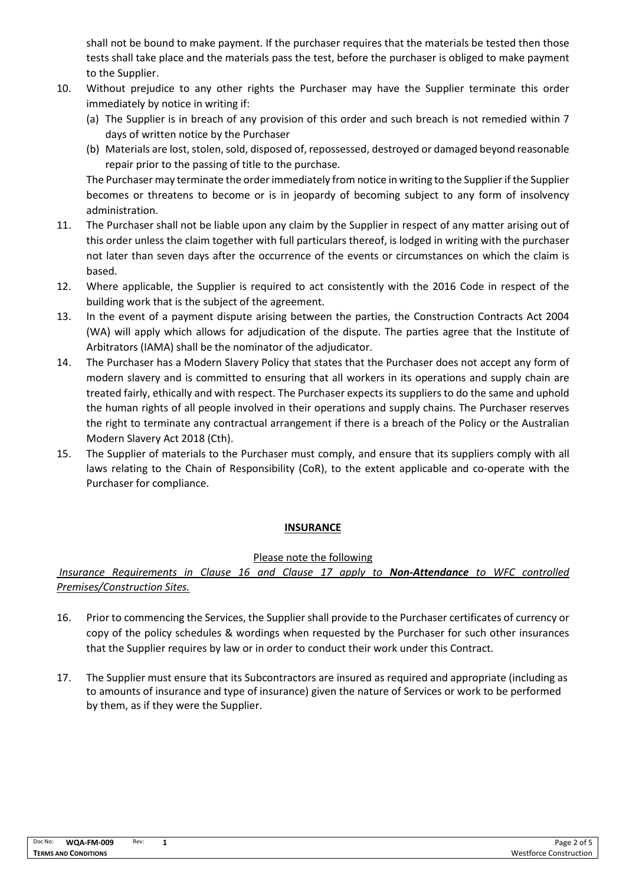shall not be bound to make payment. If the purchaser requires that the materials be tested then those tests shall take place and the materials pass the test, before the purchaser is obliged to make payment to the Supplier.

- 10. Without prejudice to any other rights the Purchaser may have the Supplier terminate this order immediately by notice in writing if:
	- (a) The Supplier is in breach of any provision of this order and such breach is not remedied within 7 days of written notice by the Purchaser
	- (b) Materials are lost, stolen, sold, disposed of, repossessed, destroyed or damaged beyond reasonable repair prior to the passing of title to the purchase.

The Purchaser may terminate the order immediately from notice in writing to the Supplier if the Supplier becomes or threatens to become or is in jeopardy of becoming subject to any form of insolvency administration.

- 11. The Purchaser shall not be liable upon any claim by the Supplier in respect of any matter arising out of this order unless the claim together with full particulars thereof, is lodged in writing with the purchaser not later than seven days after the occurrence of the events or circumstances on which the claim is based.
- 12. Where applicable, the Supplier is required to act consistently with the 2016 Code in respect of the building work that is the subject of the agreement.
- 13. In the event of a payment dispute arising between the parties, the Construction Contracts Act 2004 (WA) will apply which allows for adjudication of the dispute. The parties agree that the Institute of Arbitrators (IAMA) shall be the nominator of the adjudicator.
- 14. The Purchaser has a Modern Slavery Policy that states that the Purchaser does not accept any form of modern slavery and is committed to ensuring that all workers in its operations and supply chain are treated fairly, ethically and with respect. The Purchaser expects its suppliers to do the same and uphold the human rights of all people involved in their operations and supply chains. The Purchaser reserves the right to terminate any contractual arrangement if there is a breach of the Policy or the Australian Modern Slavery Act 2018 (Cth).
- 15. The Supplier of materials to the Purchaser must comply, and ensure that its suppliers comply with all laws relating to the Chain of Responsibility (CoR), to the extent applicable and co-operate with the Purchaser for compliance.

# **INSURANCE**

## Please note the following

*Insurance Requirements in Clause 16 and Clause 17 apply to Non-Attendance to WFC controlled Premises/Construction Sites.*

- 16. Prior to commencing the Services, the Supplier shall provide to the Purchaser certificates of currency or copy of the policy schedules & wordings when requested by the Purchaser for such other insurances that the Supplier requires by law or in order to conduct their work under this Contract.
- 17. The Supplier must ensure that its Subcontractors are insured as required and appropriate (including as to amounts of insurance and type of insurance) given the nature of Services or work to be performed by them, as if they were the Supplier.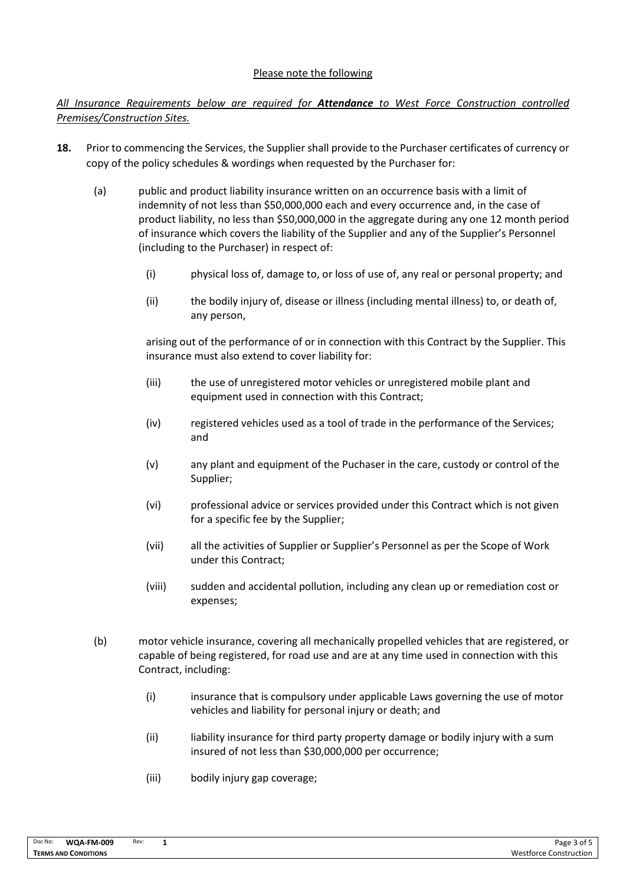## Please note the following

# *All Insurance Requirements below are required for Attendance to West Force Construction controlled Premises/Construction Sites.*

- **18.** Prior to commencing the Services, the Supplier shall provide to the Purchaser certificates of currency or copy of the policy schedules & wordings when requested by the Purchaser for:
	- (a) public and product liability insurance written on an occurrence basis with a limit of indemnity of not less than \$50,000,000 each and every occurrence and, in the case of product liability, no less than \$50,000,000 in the aggregate during any one 12 month period of insurance which covers the liability of the Supplier and any of the Supplier's Personnel (including to the Purchaser) in respect of:
		- (i) physical loss of, damage to, or loss of use of, any real or personal property; and
		- (ii) the bodily injury of, disease or illness (including mental illness) to, or death of, any person,

arising out of the performance of or in connection with this Contract by the Supplier. This insurance must also extend to cover liability for:

- (iii) the use of unregistered motor vehicles or unregistered mobile plant and equipment used in connection with this Contract;
- (iv) registered vehicles used as a tool of trade in the performance of the Services; and
- (v) any plant and equipment of the Puchaser in the care, custody or control of the Supplier;
- (vi) professional advice or services provided under this Contract which is not given for a specific fee by the Supplier;
- (vii) all the activities of Supplier or Supplier's Personnel as per the Scope of Work under this Contract;
- (viii) sudden and accidental pollution, including any clean up or remediation cost or expenses;
- (b) motor vehicle insurance, covering all mechanically propelled vehicles that are registered, or capable of being registered, for road use and are at any time used in connection with this Contract, including:
	- (i) insurance that is compulsory under applicable Laws governing the use of motor vehicles and liability for personal injury or death; and
	- (ii) liability insurance for third party property damage or bodily injury with a sum insured of not less than \$30,000,000 per occurrence;
	- (iii) bodily injury gap coverage;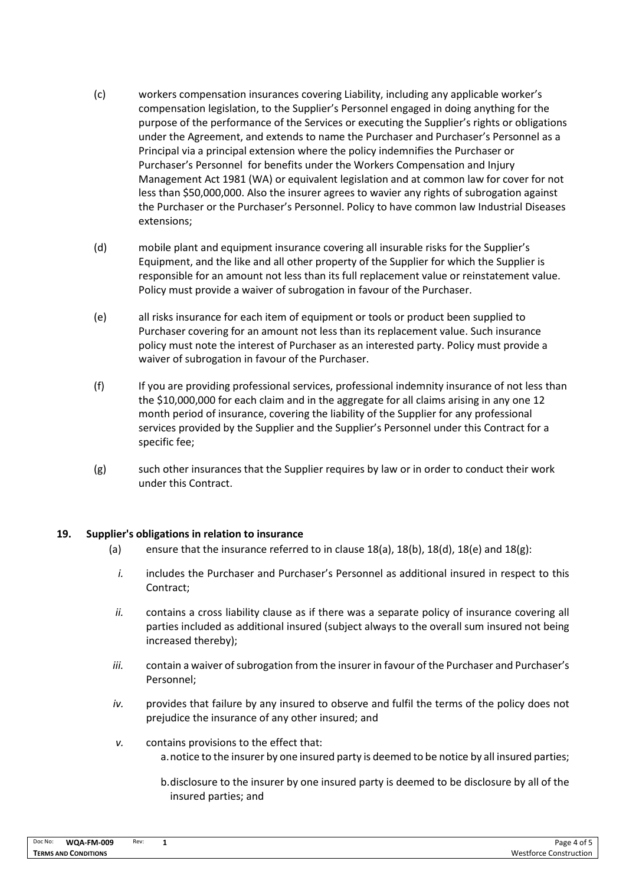- (c) workers compensation insurances covering Liability, including any applicable worker's compensation legislation, to the Supplier's Personnel engaged in doing anything for the purpose of the performance of the Services or executing the Supplier's rights or obligations under the Agreement, and extends to name the Purchaser and Purchaser's Personnel as a Principal via a principal extension where the policy indemnifies the Purchaser or Purchaser's Personnel for benefits under the Workers Compensation and Injury Management Act 1981 (WA) or equivalent legislation and at common law for cover for not less than \$50,000,000. Also the insurer agrees to wavier any rights of subrogation against the Purchaser or the Purchaser's Personnel. Policy to have common law Industrial Diseases extensions;
- (d) mobile plant and equipment insurance covering all insurable risks for the Supplier's Equipment, and the like and all other property of the Supplier for which the Supplier is responsible for an amount not less than its full replacement value or reinstatement value. Policy must provide a waiver of subrogation in favour of the Purchaser.
- (e) all risks insurance for each item of equipment or tools or product been supplied to Purchaser covering for an amount not less than its replacement value. Such insurance policy must note the interest of Purchaser as an interested party. Policy must provide a waiver of subrogation in favour of the Purchaser.
- (f) If you are providing professional services, professional indemnity insurance of not less than the \$10,000,000 for each claim and in the aggregate for all claims arising in any one 12 month period of insurance, covering the liability of the Supplier for any professional services provided by the Supplier and the Supplier's Personnel under this Contract for a specific fee;
- (g) such other insurances that the Supplier requires by law or in order to conduct their work under this Contract.

## **19. Supplier's obligations in relation to insurance**

- (a) ensure that the insurance referred to in clause  $18(a)$ ,  $18(b)$ ,  $18(d)$ ,  $18(e)$  and  $18(g)$ :
	- *i.* includes the Purchaser and Purchaser's Personnel as additional insured in respect to this Contract;
	- ii. contains a cross liability clause as if there was a separate policy of insurance covering all parties included as additional insured (subject always to the overall sum insured not being increased thereby);
- *iii.* contain a waiver of subrogation from the insurer in favour of the Purchaser and Purchaser's Personnel;
- *iv.* provides that failure by any insured to observe and fulfil the terms of the policy does not prejudice the insurance of any other insured; and
- *v.* contains provisions to the effect that: a.notice to the insurer by one insured party is deemed to be notice by all insured parties;
	- b.disclosure to the insurer by one insured party is deemed to be disclosure by all of the insured parties; and